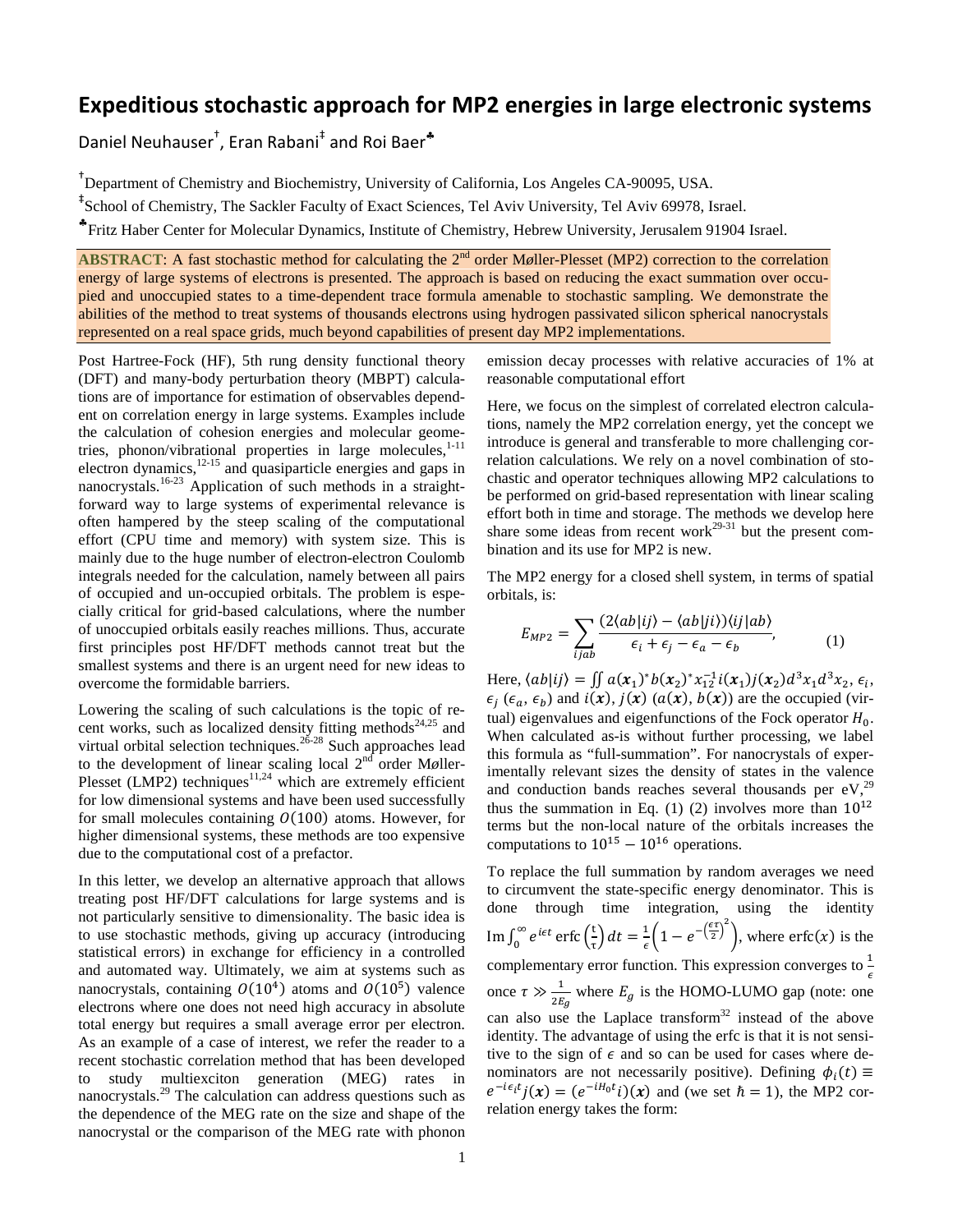## **Expeditious stochastic approach for MP2 energies in large electronic systems**

Daniel Neuhauser<sup>†</sup>, Eran Rabani<sup>‡</sup> and Roi Baer<sup>\*</sup>

† Department of Chemistry and Biochemistry, University of California, Los Angeles CA-90095, USA.

‡ School of Chemistry, The Sackler Faculty of Exact Sciences, Tel Aviv University, Tel Aviv 69978, Israel.

♣Fritz Haber Center for Molecular Dynamics, Institute of Chemistry, Hebrew University, Jerusalem 91904 Israel.

**ABSTRACT:** A fast stochastic method for calculating the 2<sup>nd</sup> order Møller-Plesset (MP2) correction to the correlation energy of large systems of electrons is presented. The approach is based on reducing the exact summation over occupied and unoccupied states to a time-dependent trace formula amenable to stochastic sampling. We demonstrate the abilities of the method to treat systems of thousands electrons using hydrogen passivated silicon spherical nanocrystals represented on a real space grids, much beyond capabilities of present day MP2 implementations.

Post Hartree-Fock (HF), 5th rung density functional theory (DFT) and many-body perturbation theory (MBPT) calculations are of importance for estimation of observables dependent on correlation energy in large systems. Examples include the calculation of cohesion energies and molecular geome-tries, phonon/vibrational properties in large molecules, [1-11](#page-3-0) electron dynamics,<sup>[12-15](#page-3-1)</sup> and quasiparticle energies and gaps in nanocrystals.<sup>[16-23](#page-3-2)</sup> Application of such methods in a straightforward way to large systems of experimental relevance is often hampered by the steep scaling of the computational effort (CPU time and memory) with system size. This is mainly due to the huge number of electron-electron Coulomb integrals needed for the calculation, namely between all pairs of occupied and un-occupied orbitals. The problem is especially critical for grid-based calculations, where the number of unoccupied orbitals easily reaches millions. Thus, accurate first principles post HF/DFT methods cannot treat but the smallest systems and there is an urgent need for new ideas to overcome the formidable barriers.

Lowering the scaling of such calculations is the topic of recent works, such as localized density fitting methods $24,25$  $24,25$  and virtual orbital selection techniques.<sup>[26-28](#page-3-5)</sup> Such approaches lead to the development of linear scaling local 2<sup>nd</sup> order Møller-Plesset (LMP2) techniques $11,24$  $11,24$  which are extremely efficient for low dimensional systems and have been used successfully for small molecules containing  $O(100)$  atoms. However, for higher dimensional systems, these methods are too expensive due to the computational cost of a prefactor.

In this letter, we develop an alternative approach that allows treating post HF/DFT calculations for large systems and is not particularly sensitive to dimensionality. The basic idea is to use stochastic methods, giving up accuracy (introducing statistical errors) in exchange for efficiency in a controlled and automated way. Ultimately, we aim at systems such as nanocrystals, containing  $O(10^4)$  atoms and  $O(10^5)$  valence electrons where one does not need high accuracy in absolute total energy but requires a small average error per electron. As an example of a case of interest, we refer the reader to a recent stochastic correlation method that has been developed to study multiexciton generation (MEG) rates in nanocrystals.[29](#page-3-7) The calculation can address questions such as the dependence of the MEG rate on the size and shape of the nanocrystal or the comparison of the MEG rate with phonon emission decay processes with relative accuracies of 1% at reasonable computational effort

Here, we focus on the simplest of correlated electron calculations, namely the MP2 correlation energy, yet the concept we introduce is general and transferable to more challenging correlation calculations. We rely on a novel combination of stochastic and operator techniques allowing MP2 calculations to be performed on grid-based representation with linear scaling effort both in time and storage. The methods we develop here share some ideas from recent work<sup>29-31</sup> but the present combination and its use for MP2 is new.

The MP2 energy for a closed shell system, in terms of spatial orbitals, is:

<span id="page-0-0"></span>
$$
E_{MP2} = \sum_{ijab} \frac{(2\langle ab|ij\rangle - \langle ab|ji\rangle)\langle ij|ab\rangle}{\epsilon_i + \epsilon_j - \epsilon_a - \epsilon_b},\tag{1}
$$

Here,  $\langle ab|ij \rangle = \iint a(x_1)^* b(x_2)^* x_{12}^{-1} i(x_1) j(x_2) d^3 x_1 d^3 x_2, \epsilon_i,$  $\epsilon_i$  ( $\epsilon_a$ ,  $\epsilon_b$ ) and  $i(x)$ ,  $j(x)$  ( $a(x)$ ,  $b(x)$ ) are the occupied (virtual) eigenvalues and eigenfunctions of the Fock operator  $H_0$ . When calculated as-is without further processing, we label this formula as "full-summation". For nanocrystals of experimentally relevant sizes the density of states in the valence and conduction bands reaches several thousands per  $eV<sub>1</sub><sup>29</sup>$  $eV<sub>1</sub><sup>29</sup>$  $eV<sub>1</sub><sup>29</sup>$ thus the summation in Eq. [\(1\)](#page-0-0) [\(2\)](#page-1-0) involves more than  $10^{12}$ terms but the non-local nature of the orbitals increases the computations to  $10^{15} - 10^{16}$  operations.

To replace the full summation by random averages we need to circumvent the state-specific energy denominator. This is done through time integration, using the identity Im  $\int_0^\infty e^{i\epsilon t}$  erfc  $\left(\frac{t}{\tau}\right)$  $\int_0^{\infty} e^{i\epsilon t} \operatorname{erfc}\left(\frac{t}{\tau}\right) dt = \frac{1}{\epsilon} \left(1 - e^{-\left(\frac{\epsilon \tau}{2}\right)^2}\right)$ , where  $\operatorname{erfc}(x)$  is the complementary error function. This expression converges to  $\frac{1}{6}$ once  $\tau \gg \frac{1}{2E_g}$  where  $E_g$  is the HOMO-LUMO gap (note: one can also use the Laplace transform $32$  instead of the above identity. The advantage of using the erfc is that it is not sensitive to the sign of  $\epsilon$  and so can be used for cases where denominators are not necessarily positive). Defining  $\phi_i(t) \equiv$  $e^{-i\epsilon_i t}j(x) = (e^{-iH_0t}i)(x)$  and (we set  $\hbar = 1$ ), the MP2 correlation energy takes the form: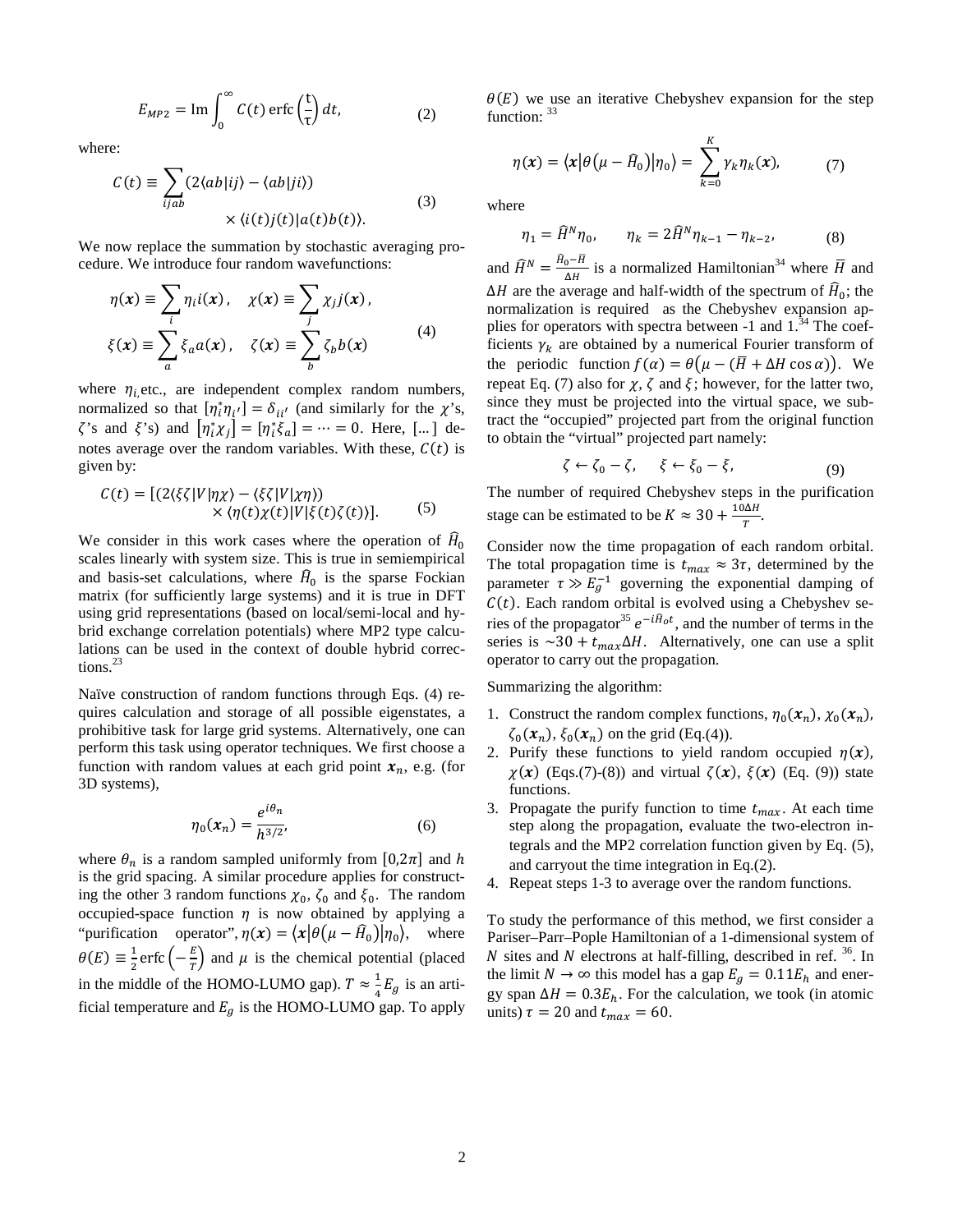$$
E_{MP2} = \text{Im} \int_0^\infty C(t) \operatorname{erfc} \left(\frac{t}{\tau}\right) dt, \tag{2}
$$

where:

$$
C(t) \equiv \sum_{ijab} (2\langle ab|ij\rangle - \langle ab|ji\rangle) \times \langle i(t)j(t)|a(t)b(t)\rangle.
$$
 (3)

We now replace the summation by stochastic averaging procedure. We introduce four random wavefunctions:

$$
\eta(x) \equiv \sum_{i} \eta_{i} i(x), \quad \chi(x) \equiv \sum_{j} \chi_{j} j(x),
$$

$$
\xi(x) \equiv \sum_{a} \xi_{a} a(x), \quad \zeta(x) \equiv \sum_{b} \zeta_{b} b(x) \tag{4}
$$

where  $\eta_{i}$ , etc., are independent complex random numbers, normalized so that  $[\eta_i^* \eta_{i'}] = \delta_{ii'}$  (and similarly for the  $\chi$ 's,  $\zeta$ 's and  $\xi$ 's) and  $[\eta_i^* \chi_j] = [\eta_i^* \xi_a] = \cdots = 0$ . Here, [...] denotes average over the random variables. With these,  $C(t)$  is given by:

$$
C(t) = [(2\langle \xi \zeta | V | \eta \chi \rangle - \langle \xi \zeta | V | \chi \eta \rangle) \times \langle \eta(t) \chi(t) | V | \xi(t) \zeta(t) \rangle]. \tag{5}
$$

We consider in this work cases where the operation of  $H_0$ scales linearly with system size. This is true in semiempirical and basis-set calculations, where  $\hat{H}_0$  is the sparse Fockian matrix (for sufficiently large systems) and it is true in DFT using grid representations (based on local/semi-local and hybrid exchange correlation potentials) where MP2 type calculations can be used in the context of double hybrid corrections.[23](#page-3-9)

Naïve construction of random functions through Eqs. [\(4\)](#page-1-1) requires calculation and storage of all possible eigenstates, a prohibitive task for large grid systems. Alternatively, one can perform this task using operator techniques. We first choose a function with random values at each grid point  $x_n$ , e.g. (for 3D systems),

$$
\eta_0(x_n) = \frac{e^{i\theta_n}}{h^{3/2}},
$$
\n(6)

where  $\theta_n$  is a random sampled uniformly from [0,2 $\pi$ ] and  $h$ is the grid spacing. A similar procedure applies for constructing the other 3 random functions  $\chi_0$ ,  $\zeta_0$  and  $\xi_0$ . The random occupied-space function  $\eta$  is now obtained by applying a "purification operator",  $\eta(x) = \langle x | \theta(\mu - \hat{H}_0) | \eta_0 \rangle$ , where  $\theta(E) \equiv \frac{1}{2}$ erfc $\left(-\frac{E}{T}\right)$  and  $\mu$  is the chemical potential (placed in the middle of the HOMO-LUMO gap).  $T \approx \frac{1}{4} E_g$  is an artificial temperature and  $E<sub>g</sub>$  is the HOMO-LUMO gap. To apply

<span id="page-1-0"></span> $\theta(E)$  we use an iterative Chebyshev expansion for the step function:  $33$ 

$$
\eta(x) = \langle x | \theta(\mu - \widehat{H}_0) | \eta_0 \rangle = \sum_{k=0}^{K} \gamma_k \eta_k(x), \qquad (7)
$$

where

<span id="page-1-3"></span><span id="page-1-2"></span>
$$
\eta_1 = \hat{H}^N \eta_0, \qquad \eta_k = 2\hat{H}^N \eta_{k-1} - \eta_{k-2}, \tag{8}
$$

<span id="page-1-1"></span>and  $\widehat{H}^N = \frac{H_0 - H}{\Delta H}$  is a normalized Hamiltonian<sup>[34](#page-3-11)</sup> where  $\overline{H}$  and  $\Delta H$  are the average and half-width of the spectrum of  $\hat{H}_0$ ; the normalization is required as the Chebyshev expansion applies for operators with spectra between  $-1$  and  $1.^{34}$  $1.^{34}$  $1.^{34}$ . The coefficients  $\gamma_k$  are obtained by a numerical Fourier transform of the periodic function  $f(\alpha) = \theta(\mu - (\overline{H} + \Delta H \cos \alpha))$ . We repeat Eq. [\(7\)](#page-1-2) also for  $\chi$ ,  $\zeta$  and  $\xi$ ; however, for the latter two, since they must be projected into the virtual space, we subtract the "occupied" projected part from the original function to obtain the "virtual" projected part namely:

<span id="page-1-4"></span>
$$
\zeta \leftarrow \zeta_0 - \zeta, \quad \xi \leftarrow \xi_0 - \xi, \tag{9}
$$

<span id="page-1-5"></span>The number of required Chebyshev steps in the purification stage can be estimated to be  $K \approx 30 + \frac{10\Delta H}{T}$ .

Consider now the time propagation of each random orbital. The total propagation time is  $t_{max} \approx 3\tau$ , determined by the parameter  $\tau \gg E_g^{-1}$  governing the exponential damping of  $C(t)$ . Each random orbital is evolved using a Chebyshev se-ries of the propagator<sup>[35](#page-3-12)</sup>  $e^{-i\hat{H}_0 t}$ , and the number of terms in the series is  $\sim 30 + t_{max} \Delta H$ . Alternatively, one can use a split operator to carry out the propagation.

Summarizing the algorithm:

- 1. Construct the random complex functions,  $\eta_0(x_n)$ ,  $\chi_0(x_n)$ ,  $\zeta_0(\mathbf{x}_n), \xi_0(\mathbf{x}_n)$  on the grid (Eq[.\(4\)\)](#page-1-1).
- 2. Purify these functions to yield random occupied  $\eta(x)$ ,  $\chi(x)$  (Eqs[.\(7\)-](#page-1-2)[\(8\)\)](#page-1-3) and virtual  $\zeta(x)$ ,  $\xi(x)$  (Eq. [\(9\)\)](#page-1-4) state functions.
- 3. Propagate the purify function to time  $t_{max}$ . At each time step along the propagation, evaluate the two-electron integrals and the MP2 correlation function given by Eq. [\(5\),](#page-1-5) and carryout the time integration in Eq[.\(2\).](#page-1-0)
- 4. Repeat steps 1-3 to average over the random functions.

To study the performance of this method, we first consider a Pariser–Parr–Pople Hamiltonian of a 1-dimensional system of  $N$  sites and  $N$  electrons at half-filling, described in ref.  $36$ . In the limit  $N \to \infty$  this model has a gap  $E_g = 0.11 E_h$  and energy span  $\Delta H = 0.3 E_h$ . For the calculation, we took (in atomic units)  $\tau = 20$  and  $t_{max} = 60$ .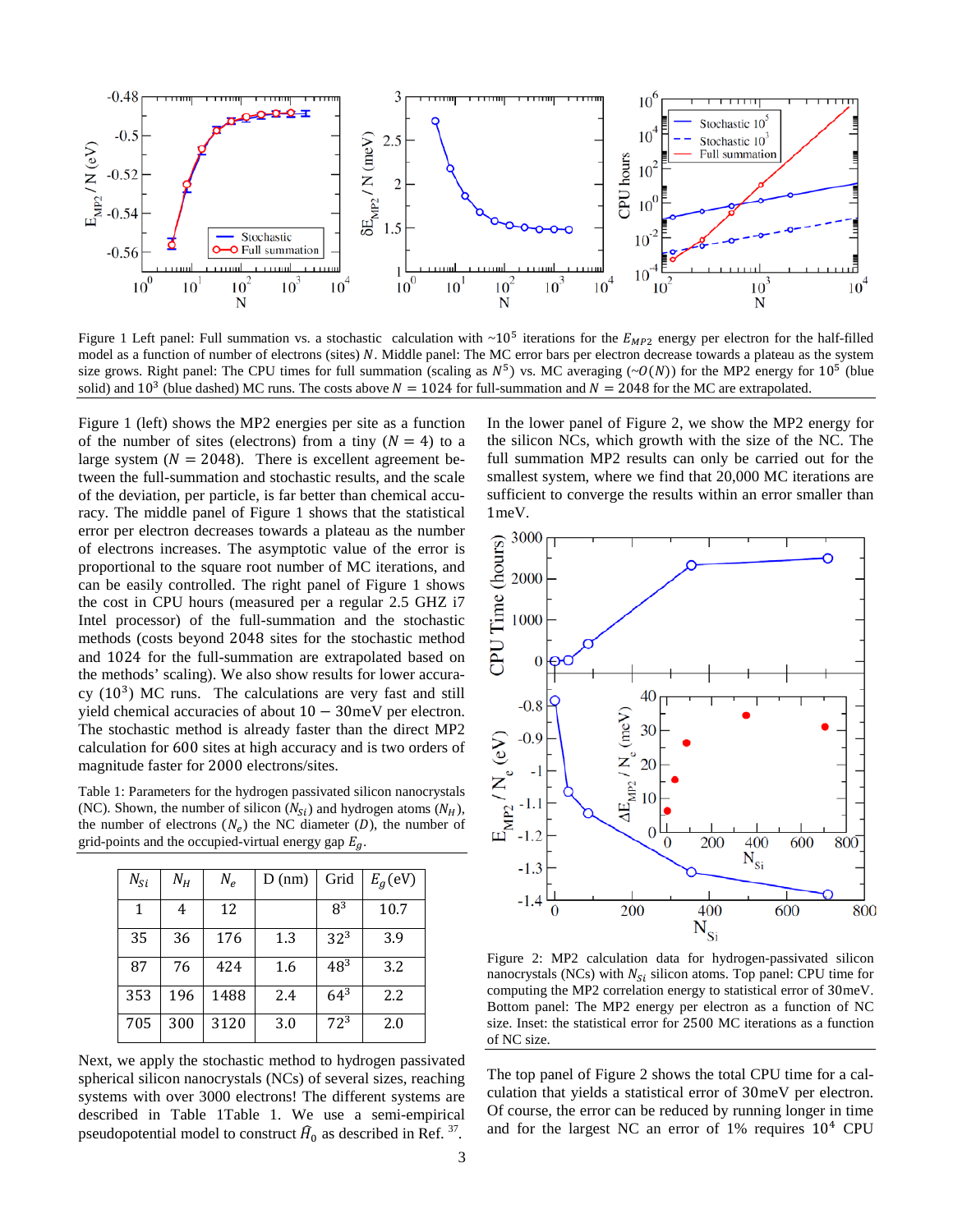

<span id="page-2-0"></span>Figure 1 Left panel: Full summation vs. a stochastic calculation with  $\sim 10^5$  iterations for the  $E_{MP2}$  energy per electron for the half-filled model as a function of number of electrons (sites) N. Middle panel: The MC error bars per electron decrease towards a plateau as the system size grows. Right panel: The CPU times for full summation (scaling as  $N^5$ ) vs. MC averaging ( $\sim O(N)$ ) for the MP2 energy for 10<sup>5</sup> (blue solid) and 10<sup>3</sup> (blue dashed) MC runs. The costs above  $N = 1024$  for full-summation and  $N = 2048$  for the MC are extrapolated.

[Figure 1](#page-2-0) (left) shows the MP2 energies per site as a function of the number of sites (electrons) from a tiny  $(N = 4)$  to a large system ( $N = 2048$ ). There is excellent agreement between the full-summation and stochastic results, and the scale of the deviation, per particle, is far better than chemical accuracy. The middle panel of [Figure 1](#page-2-0) shows that the statistical error per electron decreases towards a plateau as the number of electrons increases. The asymptotic value of the error is proportional to the square root number of MC iterations, and can be easily controlled. The right panel of [Figure](#page-2-0) 1 shows the cost in CPU hours (measured per a regular 2.5 GHZ i7 Intel processor) of the full-summation and the stochastic methods (costs beyond 2048 sites for the stochastic method and 1024 for the full-summation are extrapolated based on the methods' scaling). We also show results for lower accuracy  $(10^3)$  MC runs. The calculations are very fast and still yield chemical accuracies of about 10 − 30meV per electron. The stochastic method is already faster than the direct MP2 calculation for 600 sites at high accuracy and is two orders of magnitude faster for 2000 electrons/sites.

<span id="page-2-1"></span>Table 1: Parameters for the hydrogen passivated silicon nanocrystals (NC). Shown, the number of silicon ( $N_{\rm si}$ ) and hydrogen atoms ( $N_{\rm H}$ ), the number of electrons  $(N_e)$  the NC diameter  $(D)$ , the number of grid-points and the occupied-virtual energy gap  $E_a$ 

| $N_{Si}$ | $N_H$ | $N_e$ | $D$ (nm) | Grid            | $Eq$ (eV) |
|----------|-------|-------|----------|-----------------|-----------|
| 1        | 4     | 12    |          | $R^3$           | 10.7      |
| 35       | 36    | 176   | 1.3      | 32 <sup>3</sup> | 3.9       |
| 87       | 76    | 424   | 1.6      | $48^{3}$        | 3.2       |
| 353      | 196   | 1488  | 2.4      | $64^{3}$        | 2.2       |
| 705      | 300   | 3120  | 3.0      | $72^{3}$        | 2.0       |

Next, we apply the stochastic method to hydrogen passivated spherical silicon nanocrystals (NCs) of several sizes, reaching systems with over 3000 electrons! The different systems are described in [Table 1Table 1.](#page-2-1) We use a semi-empirical pseudopotential model to construct  $\widehat{H}_0$  as described in Ref. <sup>37</sup>.

In the lower panel of [Figure 2,](#page-2-2) we show the MP2 energy for the silicon NCs, which growth with the size of the NC. The full summation MP2 results can only be carried out for the smallest system, where we find that 20,000 MC iterations are sufficient to converge the results within an error smaller than 1meV.



<span id="page-2-2"></span>Figure 2: MP2 calculation data for hydrogen-passivated silicon nanocrystals (NCs) with  $N_{Si}$  silicon atoms. Top panel: CPU time for computing the MP2 correlation energy to statistical error of 30meV. Bottom panel: The MP2 energy per electron as a function of NC size. Inset: the statistical error for 2500 MC iterations as a function of NC size.

The top panel of [Figure 2](#page-2-2) shows the total CPU time for a calculation that yields a statistical error of 30meV per electron. Of course, the error can be reduced by running longer in time and for the largest NC an error of 1% requires 10<sup>4</sup> CPU